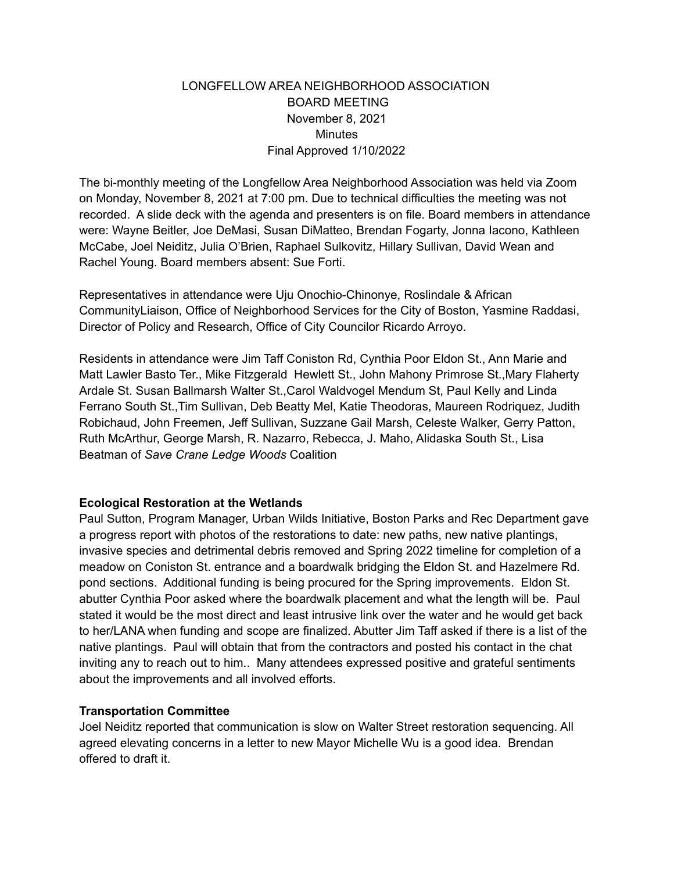# LONGFELLOW AREA NEIGHBORHOOD ASSOCIATION BOARD MEETING November 8, 2021 Minutes Final Approved 1/10/2022

The bi-monthly meeting of the Longfellow Area Neighborhood Association was held via Zoom on Monday, November 8, 2021 at 7:00 pm. Due to technical difficulties the meeting was not recorded. A slide deck with the agenda and presenters is on file. Board members in attendance were: Wayne Beitler, Joe DeMasi, Susan DiMatteo, Brendan Fogarty, Jonna Iacono, Kathleen McCabe, Joel Neiditz, Julia O'Brien, Raphael Sulkovitz, Hillary Sullivan, David Wean and Rachel Young. Board members absent: Sue Forti.

Representatives in attendance were Uju Onochio-Chinonye, Roslindale & African CommunityLiaison, Office of Neighborhood Services for the City of Boston, Yasmine Raddasi, Director of Policy and Research, Office of City Councilor Ricardo Arroyo.

Residents in attendance were Jim Taff Coniston Rd, Cynthia Poor Eldon St., Ann Marie and Matt Lawler Basto Ter., Mike Fitzgerald Hewlett St., John Mahony Primrose St.,Mary Flaherty Ardale St. Susan Ballmarsh Walter St.,Carol Waldvogel Mendum St, Paul Kelly and Linda Ferrano South St.,Tim Sullivan, Deb Beatty Mel, Katie Theodoras, Maureen Rodriquez, Judith Robichaud, John Freemen, Jeff Sullivan, Suzzane Gail Marsh, Celeste Walker, Gerry Patton, Ruth McArthur, George Marsh, R. Nazarro, Rebecca, J. Maho, Alidaska South St., Lisa Beatman of *Save Crane Ledge Woods* Coalition

## **Ecological Restoration at the Wetlands**

Paul Sutton, Program Manager, Urban Wilds Initiative, Boston Parks and Rec Department gave a progress report with photos of the restorations to date: new paths, new native plantings, invasive species and detrimental debris removed and Spring 2022 timeline for completion of a meadow on Coniston St. entrance and a boardwalk bridging the Eldon St. and Hazelmere Rd. pond sections. Additional funding is being procured for the Spring improvements. Eldon St. abutter Cynthia Poor asked where the boardwalk placement and what the length will be. Paul stated it would be the most direct and least intrusive link over the water and he would get back to her/LANA when funding and scope are finalized. Abutter Jim Taff asked if there is a list of the native plantings. Paul will obtain that from the contractors and posted his contact in the chat inviting any to reach out to him.. Many attendees expressed positive and grateful sentiments about the improvements and all involved efforts.

## **Transportation Committee**

Joel Neiditz reported that communication is slow on Walter Street restoration sequencing. All agreed elevating concerns in a letter to new Mayor Michelle Wu is a good idea. Brendan offered to draft it.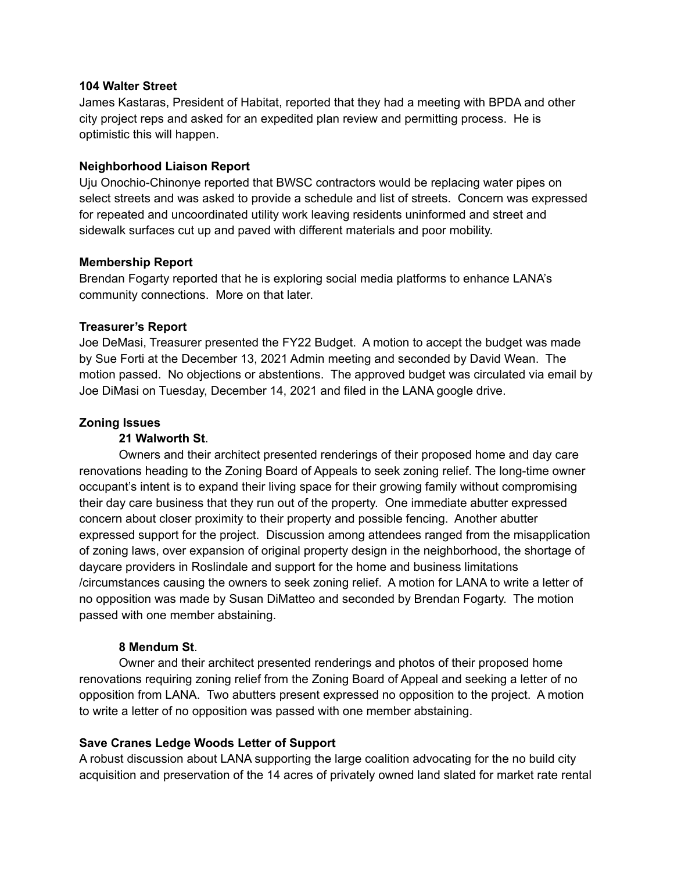#### **104 Walter Street**

James Kastaras, President of Habitat, reported that they had a meeting with BPDA and other city project reps and asked for an expedited plan review and permitting process. He is optimistic this will happen.

## **Neighborhood Liaison Report**

Uju Onochio-Chinonye reported that BWSC contractors would be replacing water pipes on select streets and was asked to provide a schedule and list of streets. Concern was expressed for repeated and uncoordinated utility work leaving residents uninformed and street and sidewalk surfaces cut up and paved with different materials and poor mobility.

## **Membership Report**

Brendan Fogarty reported that he is exploring social media platforms to enhance LANA's community connections. More on that later.

## **Treasurer's Report**

Joe DeMasi, Treasurer presented the FY22 Budget. A motion to accept the budget was made by Sue Forti at the December 13, 2021 Admin meeting and seconded by David Wean. The motion passed. No objections or abstentions. The approved budget was circulated via email by Joe DiMasi on Tuesday, December 14, 2021 and filed in the LANA google drive.

## **Zoning Issues**

# **21 Walworth St**.

Owners and their architect presented renderings of their proposed home and day care renovations heading to the Zoning Board of Appeals to seek zoning relief. The long-time owner occupant's intent is to expand their living space for their growing family without compromising their day care business that they run out of the property. One immediate abutter expressed concern about closer proximity to their property and possible fencing. Another abutter expressed support for the project. Discussion among attendees ranged from the misapplication of zoning laws, over expansion of original property design in the neighborhood, the shortage of daycare providers in Roslindale and support for the home and business limitations /circumstances causing the owners to seek zoning relief. A motion for LANA to write a letter of no opposition was made by Susan DiMatteo and seconded by Brendan Fogarty. The motion passed with one member abstaining.

# **8 Mendum St**.

Owner and their architect presented renderings and photos of their proposed home renovations requiring zoning relief from the Zoning Board of Appeal and seeking a letter of no opposition from LANA. Two abutters present expressed no opposition to the project. A motion to write a letter of no opposition was passed with one member abstaining.

## **Save Cranes Ledge Woods Letter of Support**

A robust discussion about LANA supporting the large coalition advocating for the no build city acquisition and preservation of the 14 acres of privately owned land slated for market rate rental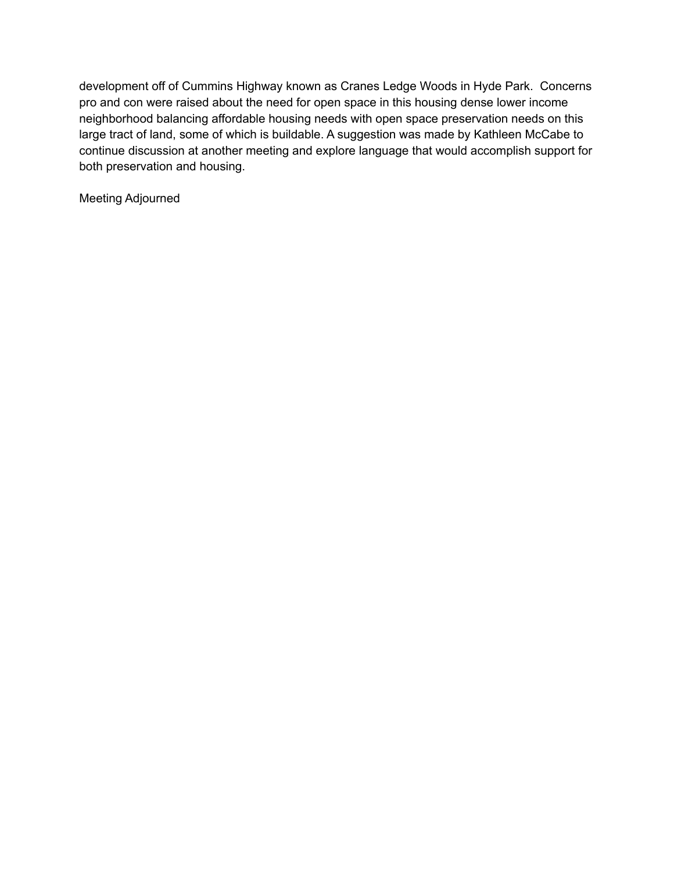development off of Cummins Highway known as Cranes Ledge Woods in Hyde Park. Concerns pro and con were raised about the need for open space in this housing dense lower income neighborhood balancing affordable housing needs with open space preservation needs on this large tract of land, some of which is buildable. A suggestion was made by Kathleen McCabe to continue discussion at another meeting and explore language that would accomplish support for both preservation and housing.

Meeting Adjourned